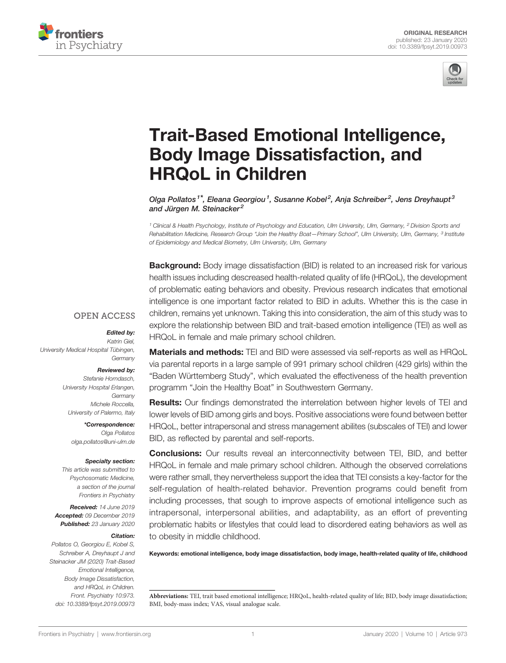



# [Trait-Based Emotional Intelligence,](https://www.frontiersin.org/article/10.3389/fpsyt.2019.00973/full) [Body Image Dissatisfaction, and](https://www.frontiersin.org/article/10.3389/fpsyt.2019.00973/full) [HRQoL in Children](https://www.frontiersin.org/article/10.3389/fpsyt.2019.00973/full)

[Olga](https://loop.frontiersin.org/people/94581) [Pollatos](https://loop.frontiersin.org/people/94581)<sup>1\*</sup>, [Eleana](https://loop.frontiersin.org/people/164954) [Georgiou](https://loop.frontiersin.org/people/164954)<sup>1</sup>, [Susanne](https://loop.frontiersin.org/people/230339) [Kobel](https://loop.frontiersin.org/people/230339)<sup>2</sup>, Anja Schreiber<sup>2</sup>, [Jens](https://loop.frontiersin.org/people/496260) [Dreyhaupt](https://loop.frontiersin.org/people/496260)<sup>3</sup> and [Jürgen M.](https://loop.frontiersin.org/people/418437) [Steinacker](https://loop.frontiersin.org/people/418437)<sup>2</sup>

<sup>1</sup> Clinical & Health Psychology, Institute of Psychology and Education, Ulm University, Ulm, Germany, <sup>2</sup> Division Sports and Rehabilitation Medicine, Research Group "Join the Healthy Boat–Primary School", Ulm University, Ulm, Germany, <sup>3</sup> Institute of Epidemiology and Medical Biometry, Ulm University, Ulm, Germany

**Background:** Body image dissatisfaction (BID) is related to an increased risk for various health issues including descreased health-related quality of life (HRQoL), the development of problematic eating behaviors and obesity. Previous research indicates that emotional intelligence is one important factor related to BID in adults. Whether this is the case in children, remains yet unknown. Taking this into consideration, the aim of this study was to explore the relationship between BID and trait-based emotion intelligence (TEI) as well as HRQoL in female and male primary school children.

## **OPEN ACCESS**

#### Edited by:

Katrin Giel, University Medical Hospital Tübingen, **Germany** 

#### Reviewed by:

Stefanie Horndasch, University Hospital Erlangen, Germany Michele Roccella, University of Palermo, Italy

> \*Correspondence: Olga Pollatos [olga.pollatos@uni-ulm.de](mailto:olga.pollatos@uni-ulm.de)

## Specialty section:

This article was submitted to Psychosomatic Medicine, a section of the journal Frontiers in Psychiatry

Received: 14 June 2019 Accepted: 09 December 2019 Published: 23 January 2020

#### Citation:

Pollatos O, Georgiou E, Kobel S, Schreiber A, Dreyhaupt J and Steinacker JM (2020) Trait-Based Emotional Intelligence, Body Image Dissatisfaction, and HRQoL in Children. Front. Psychiatry 10:973. [doi: 10.3389/fpsyt.2019.00973](https://doi.org/10.3389/fpsyt.2019.00973) Materials and methods: TEI and BID were assessed via self-reports as well as HRQoL via parental reports in a large sample of 991 primary school children (429 girls) within the "Baden Württemberg Study", which evaluated the effectiveness of the health prevention programm "Join the Healthy Boat" in Southwestern Germany.

Results: Our findings demonstrated the interrelation between higher levels of TEI and lower levels of BID among girls and boys. Positive associations were found between better HRQoL, better intrapersonal and stress management abilites (subscales of TEI) and lower BID, as reflected by parental and self-reports.

**Conclusions:** Our results reveal an interconnectivity between TEI, BID, and better HRQoL in female and male primary school children. Although the observed correlations were rather small, they nervertheless support the idea that TEI consists a key-factor for the self-regulation of health-related behavior. Prevention programs could benefit from including processes, that sough to improve aspects of emotional intelligence such as intrapersonal, interpersonal abilities, and adaptability, as an effort of preventing problematic habits or lifestyles that could lead to disordered eating behaviors as well as to obesity in middle childhood.

Keywords: emotional intelligence, body image dissatisfaction, body image, health-related quality of life, childhood

Abbreviations: TEI, trait based emotional intelligence; HRQoL, health-related quality of life; BID, body image dissatisfaction; BMI, body-mass index; VAS, visual analogue scale.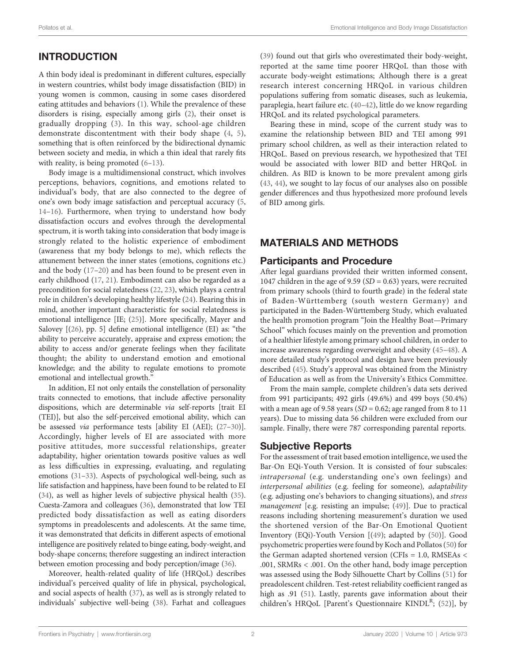# INTRODUCTION

A thin body ideal is predominant in different cultures, especially in western countries, whilst body image dissatisfaction (BID) in young women is common, causing in some cases disordered eating attitudes and behaviors ([1](#page-5-0)). While the prevalence of these disorders is rising, especially among girls ([2](#page-5-0)), their onset is gradually dropping ([3](#page-5-0)). In this way, school-age children demonstrate discontentment with their body shape ([4,](#page-5-0) [5\)](#page-5-0), something that is often reinforced by the bidirectional dynamic between society and media, in which a thin ideal that rarely fits with reality, is being promoted  $(6-13)$  $(6-13)$  $(6-13)$ .

Body image is a multidimensional construct, which involves perceptions, behaviors, cognitions, and emotions related to individual's body, that are also connected to the degree of one's own body image satisfaction and perceptual accuracy ([5](#page-5-0), [14](#page-5-0)–[16\)](#page-5-0). Furthermore, when trying to understand how body dissatisfaction occurs and evolves through the developmental spectrum, it is worth taking into consideration that body image is strongly related to the holistic experience of embodiment (awareness that my body belongs to me), which reflects the attunement between the inner states (emotions, cognitions etc.) and the body ([17](#page-5-0)–[20\)](#page-5-0) and has been found to be present even in early childhood ([17,](#page-5-0) [21\)](#page-5-0). Embodiment can also be regarded as a precondition for social relatedness [\(22](#page-5-0), [23\)](#page-5-0), which plays a central role in children's developing healthy lifestyle ([24\)](#page-5-0). Bearing this in mind, another important characteristic for social relatedness is emotional intelligence [IE; ([25\)](#page-5-0)]. More specifically, Mayer and Salovey  $[$ ([26\)](#page-5-0), pp. 5 $]$  define emotional intelligence (EI) as: "the ability to perceive accurately, appraise and express emotion; the ability to access and/or generate feelings when they facilitate thought; the ability to understand emotion and emotional knowledge; and the ability to regulate emotions to promote emotional and intellectual growth."

In addition, EI not only entails the constellation of personality traits connected to emotions, that include affective personality dispositions, which are determinable via self-reports [trait EI (TEI)], but also the self-perceived emotional ability, which can be assessed via performance tests [ability EI (AEI); [\(27](#page-5-0)–[30\)](#page-5-0)]. Accordingly, higher levels of EI are associated with more positive attitudes, more successful relationships, greater adaptability, higher orientation towards positive values as well as less difficulties in expressing, evaluating, and regulating emotions ([31](#page-5-0)–[33\)](#page-5-0). Aspects of psychological well-being, such as life satisfaction and happiness, have been found to be related to EI ([34](#page-5-0)), as well as higher levels of subjective physical health ([35\)](#page-5-0). Cuesta-Zamora and colleagues [\(36\)](#page-5-0), demonstrated that low TEI predicted body dissatisfaction as well as eating disorders symptoms in preadolescents and adolescents. At the same time, it was demonstrated that deficits in different aspects of emotional intelligence are positively related to binge eating, body-weight, and body-shape concerns; therefore suggesting an indirect interaction between emotion processing and body perception/image ([36\)](#page-5-0).

Moreover, health-related quality of life (HRQoL) describes individual's perceived quality of life in physical, psychological, and social aspects of health [\(37](#page-5-0)), as well as is strongly related to individuals' subjective well-being [\(38](#page-5-0)). Farhat and colleagues

[\(39\)](#page-5-0) found out that girls who overestimated their body-weight, reported at the same time poorer HRQoL than those with accurate body-weight estimations; Although there is a great research interest concerning HRQoL in various children populations suffering from somatic diseases, such as leukemia, paraplegia, heart failure etc. ([40](#page-5-0)–[42](#page-6-0)), little do we know regarding HRQoL and its related psychological parameters.

Bearing these in mind, scope of the current study was to examine the relationship between BID and TEI among 991 primary school children, as well as their interaction related to HRQoL. Based on previous research, we hypothesized that TEI would be associated with lower BID and better HRQoL in children. As BID is known to be more prevalent among girls [\(43,](#page-6-0) [44\)](#page-6-0), we sought to lay focus of our analyses also on possible gender differences and thus hypothesized more profound levels of BID among girls.

# MATERIALS AND METHODS

## Participants and Procedure

After legal guardians provided their written informed consent, 1047 children in the age of 9.59 ( $SD = 0.63$ ) years, were recruited from primary schools (third to fourth grade) in the federal state of Baden-Württemberg (south western Germany) and participated in the Baden-Württemberg Study, which evaluated the health promotion program "Join the Healthy Boat—Primary School" which focuses mainly on the prevention and promotion of a healthier lifestyle among primary school children, in order to increase awareness regarding overweight and obesity [\(45](#page-6-0)–[48](#page-6-0)). A more detailed study's protocol and design have been previously described ([45\)](#page-6-0). Study's approval was obtained from the Ministry of Education as well as from the University's Ethics Committee.

From the main sample, complete children's data sets derived from 991 participants; 492 girls (49.6%) and 499 boys (50.4%) with a mean age of 9.58 years ( $SD = 0.62$ ; age ranged from 8 to 11 years). Due to missing data 56 children were excluded from our sample. Finally, there were 787 corresponding parental reports.

## Subjective Reports

For the assessment of trait based emotion intelligence, we used the Bar-On EQi-Youth Version. It is consisted of four subscales: intrapersonal (e.g. understanding one's own feelings) and interpersonal abilities (e.g. feeling for someone), adaptability (e.g. adjusting one's behaviors to changing situations), and stress management [e.g. resisting an impulse; [\(49](#page-6-0))]. Due to practical reasons including shortening measurement's duration we used the shortened version of the Bar-On Emotional Quotient Inventory (EQi)-Youth Version [[\(49](#page-6-0)); adapted by [\(50](#page-6-0))]. Good psychometric properties were found by Koch and Pollatos [\(50](#page-6-0)) for the German adapted shortened version (CFIs = 1.0, RMSEAs < .001, SRMRs < .001. On the other hand, body image perception was assessed using the Body Silhouette Chart by Collins [\(51](#page-6-0)) for preadolescent children. Test-retest reliability coefficient ranged as high as .91 [\(51](#page-6-0)). Lastly, parents gave information about their children's HRQoL [Parent's Questionnaire KINDL<sup>R</sup>; [\(52](#page-6-0))], by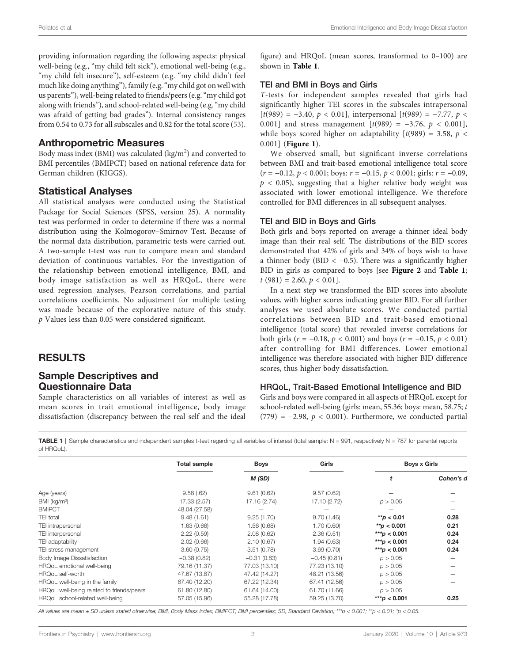providing information regarding the following aspects: physical well-being (e.g., "my child felt sick"), emotional well-being (e.g., "my child felt insecure"), self-esteem (e.g. "my child didn't feel much like doing anything"), family (e.g."my child got on well with us parents"), well-being related to friends/peers (e.g."my child got along with friends"), and school-related well-being (e.g."my child was afraid of getting bad grades"). Internal consistency ranges from 0.54 to 0.73 for all subscales and 0.82 for the total score ([53\)](#page-6-0).

## Anthropometric Measures

Body mass index (BMI) was calculated (kg/m<sup>2</sup>) and converted to BMI percentiles (BMIPCT) based on national reference data for German children (KIGGS).

## Statistical Analyses

All statistical analyses were conducted using the Statistical Package for Social Sciences (SPSS, version 25). A normality test was performed in order to determine if there was a normal distribution using the Kolmogorov−Smirnov Test. Because of the normal data distribution, parametric tests were carried out. A two-sample t-test was run to compare mean and standard deviation of continuous variables. For the investigation of the relationship between emotional intelligence, BMI, and body image satisfaction as well as HRQoL, there were used regression analyses, Pearson correlations, and partial correlations coefficients. No adjustment for multiple testing was made because of the explorative nature of this study. p Values less than 0.05 were considered significant.

## RESULTS

## Sample Descriptives and Questionnaire Data

Sample characteristics on all variables of interest as well as mean scores in trait emotional intelligence, body image dissatisfaction (discrepancy between the real self and the ideal

figure) and HRQoL (mean scores, transformed to 0–100) are shown in Table 1.

#### TEI and BMI in Boys and Girls

T-tests for independent samples revealed that girls had significantly higher TEI scores in the subscales intrapersonal  $[t(989) = -3.40, p < 0.01]$ , interpersonal  $[t(989) = -7.77, p <$ 0.001] and stress management  $[t(989) = -3.76, p < 0.001]$ , while boys scored higher on adaptability  $[t(989) = 3.58, p <$ 0.001] ([Figure 1](#page-3-0)).

We observed small, but significant inverse correlations between BMI and trait-based emotional intelligence total score  $(r = -0.12, p < 0.001;$  boys:  $r = -0.15, p < 0.001;$  girls:  $r = -0.09$ ,  $p < 0.05$ ), suggesting that a higher relative body weight was associated with lower emotional intelligence. We therefore controlled for BMI differences in all subsequent analyses.

#### TEI and BID in Boys and Girls

Both girls and boys reported on average a thinner ideal body image than their real self. The distributions of the BID scores demonstrated that 42% of girls and 34% of boys wish to have a thinner body (BID < -0.5). There was a significantly higher BID in girls as compared to boys [see [Figure 2](#page-4-0) and Table 1;  $t(981) = 2.60, p < 0.01$ .

In a next step we transformed the BID scores into absolute values, with higher scores indicating greater BID. For all further analyses we used absolute scores. We conducted partial correlations between BID and trait-based emotional intelligence (total score) that revealed inverse correlations for both girls ( $r = -0.18$ ,  $p < 0.001$ ) and boys ( $r = -0.15$ ,  $p < 0.01$ ) after controlling for BMI differences. Lower emotional intelligence was therefore associated with higher BID difference scores, thus higher body dissatisfaction.

#### HRQoL, Trait-Based Emotional Intelligence and BID

Girls and boys were compared in all aspects of HRQoL except for school-related well-being (girls: mean, 55.36; boys: mean, 58.75; t (779) =  $-2.98$ ,  $p < 0.001$ ). Furthermore, we conducted partial

TABLE 1 | Sample characteristics and independent samples t-test regarding all variables of interest (total sample:  $N = 991$ , respectively  $N = 787$  for parental reports of HRQoL).

|                                           | <b>Total sample</b> | Boys          | <b>Girls</b>  | <b>Boys x Girls</b> |      |
|-------------------------------------------|---------------------|---------------|---------------|---------------------|------|
|                                           |                     | M(SD)         |               | Cohen's d           |      |
| Age (years)                               | 9.58(.62)           | 9.61(0.62)    | 9.57(0.62)    |                     |      |
| BMI (kg/m <sup>2</sup> )                  | 17.33 (2.57)        | 17.16 (2.74)  | 17.10 (2.72)  | p > 0.05            |      |
| <b>BMIPCT</b>                             | 48.04 (27.58)       |               |               |                     |      |
| TEI total                                 | 9.48(1.61)          | 9.25(1.70)    | 9.70(1.46)    | ** $p < 0.01$       | 0.28 |
| TEI intrapersonal                         | 1.63(0.66)          | 1.56(0.68)    | 1.70(0.60)    | ** $p < 0.001$      | 0.21 |
| TEI interpersonal                         | 2.22(0.59)          | 2.08(0.62)    | 2.36(0.51)    | *** $p < 0.001$     | 0.24 |
| TEI adaptability                          | 2.02(0.66)          | 2.10(0.67)    | 1.94(0.63)    | *** $p < 0.001$     | 0.24 |
| TEI stress management                     | 3.60(0.75)          | 3.51(0.78)    | 3.69(0.70)    | *** $p < 0.001$     | 0.24 |
| Body Image Dissatisfaction                | $-0.38(0.82)$       | $-0.31(0.83)$ | $-0.45(0.81)$ | p > 0.05            |      |
| HRQoL emotional well-being                | 79.16 (11.37)       | 77.03 (13.10) | 77.23 (13.10) | p > 0.05            |      |
| HRQoL self-worth                          | 47.67 (13.87)       | 47.42 (14.27) | 48.21 (13.56) | p > 0.05            |      |
| HRQoL well-being in the family            | 67.40 (12.20)       | 67.22 (12.34) | 67.41 (12.56) | p > 0.05            |      |
| HRQoL well-being related to friends/peers | 61.80 (12.80)       | 61.64 (14.00) | 61.70 (11.66) | p > 0.05            |      |
| HRQoL school-related well-being           | 57.05 (15.96)       | 55.28 (17.78) | 59.25 (13.70) | *** $p < 0.001$     | 0.25 |

All values are mean ± SD unless stated otherwise; BMI, Body Mass Index; BMIPCT, BMI percentiles; SD, Standard Deviation; \*\*p < 0.001; \*p < 0.01; \*p < 0.05.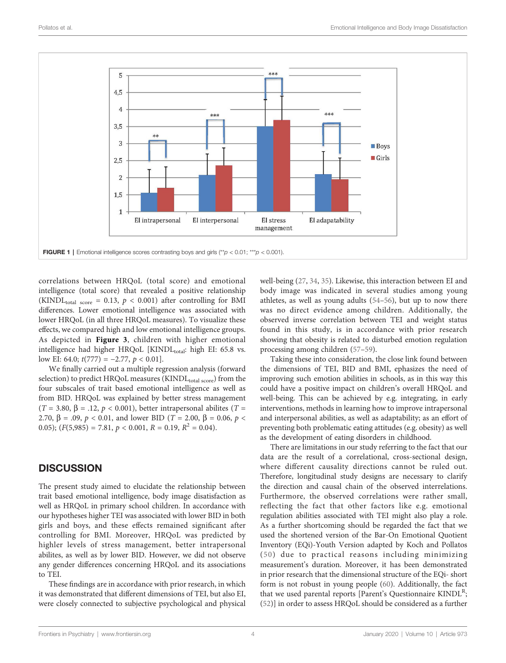<span id="page-3-0"></span>

correlations between HRQoL (total score) and emotional intelligence (total score) that revealed a positive relationship (KINDL<sub>total score</sub> = 0.13,  $p < 0.001$ ) after controlling for BMI differences. Lower emotional intelligence was associated with lower HRQoL (in all three HRQoL measures). To visualize these effects, we compared high and low emotional intelligence groups. As depicted in [Figure 3](#page-4-0), children with higher emotional intelligence had higher HRQoL [KINDLtotal: high EI: 65.8 vs. low EI: 64.0;  $t(777) = -2.77$ ,  $p < 0.01$ .

We finally carried out a multiple regression analysis (forward selection) to predict HRQoL measures (KINDL<sub>total score</sub>) from the four subscales of trait based emotional intelligence as well as from BID. HRQoL was explained by better stress management  $(T = 3.80, \beta = .12, p < 0.001)$ , better intrapersonal abilites  $(T = 1.12, p < 0.001)$ 2.70,  $\beta$  = .09,  $p < 0.01$ , and lower BID (T = 2.00,  $\beta$  = 0.06,  $p <$ 0.05);  $(F(5,985) = 7.81, p < 0.001, R = 0.19, R^2 = 0.04)$ .

# **DISCUSSION**

The present study aimed to elucidate the relationship between trait based emotional intelligence, body image disatisfaction as well as HRQoL in primary school children. In accordance with our hypotheses higher TEI was associated with lower BID in both girls and boys, and these effects remained significant after controlling for BMI. Moreover, HRQoL was predicted by highler levels of stress management, better intrapersonal abilites, as well as by lower BID. However, we did not observe any gender differences concerning HRQoL and its associations to TEI.

These findings are in accordance with prior research, in which it was demonstrated that different dimensions of TEI, but also EI, were closely connected to subjective psychological and physical

well-being ([27](#page-5-0), [34,](#page-5-0) [35](#page-5-0)). Likewise, this interaction between EI and body image was indicated in several studies among young athletes, as well as young adults [\(54](#page-6-0)–[56](#page-6-0)), but up to now there was no direct evidence among children. Additionally, the observed inverse correlation between TEI and weight status found in this study, is in accordance with prior research showing that obesity is related to disturbed emotion regulation processing among children [\(57](#page-6-0)–[59](#page-6-0)).

Taking these into consideration, the close link found between the dimensions of TEI, BID and BMI, ephasizes the need of improving such emotion abilities in schools, as in this way this could have a positive impact on children's overall HRQoL and well-being. This can be achieved by e.g. integrating, in early interventions, methods in learning how to improve intrapersonal and interpersonal abilities, as well as adaptability; as an effort of preventing both problematic eating attitudes (e.g. obesity) as well as the development of eating disorders in childhood.

There are limitations in our study referring to the fact that our data are the result of a correlational, cross-sectional design, where different causality directions cannot be ruled out. Therefore, longitudinal study designs are necessary to clarify the direction and causal chain of the observed interrelations. Furthermore, the observed correlations were rather small, reflecting the fact that other factors like e.g. emotional regulation abilities associated with TEI might also play a role. As a further shortcoming should be regarded the fact that we used the shortened version of the Bar-On Emotional Quotient Inventory (EQi)-Youth Version adapted by Koch and Pollatos ([50\)](#page-6-0) due to practical reasons including minimizing measurement's duration. Moreover, it has been demonstrated in prior research that the dimensional structure of the EQi- short form is not robust in young people [\(60](#page-6-0)). Additionally, the fact that we used parental reports [Parent's Questionnaire KINDL<sup>R</sup>; [\(52\)](#page-6-0)] in order to assess HRQoL should be considered as a further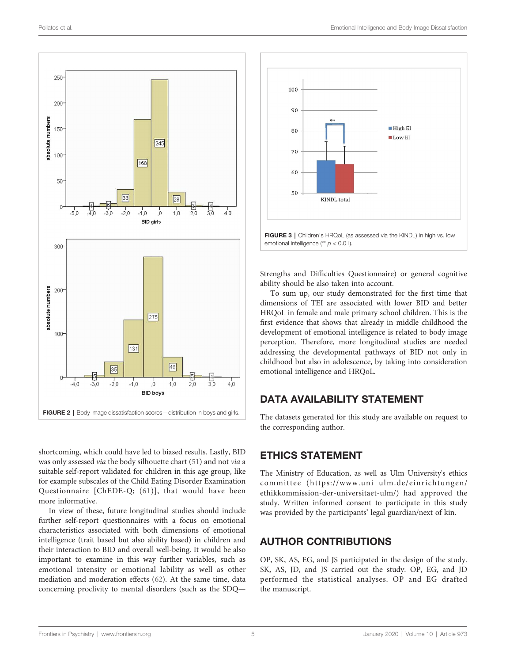<span id="page-4-0"></span>

shortcoming, which could have led to biased results. Lastly, BID was only assessed via the body silhouette chart ([51\)](#page-6-0) and not via a suitable self-report validated for children in this age group, like for example subscales of the Child Eating Disorder Examination Questionnaire [ChEDE-Q; ([61\)](#page-6-0)], that would have been more informative.

In view of these, future longitudinal studies should include further self-report questionnaires with a focus on emotional characteristics associated with both dimensions of emotional intelligence (trait based but also ability based) in children and their interaction to BID and overall well-being. It would be also important to examine in this way further variables, such as emotional intensity or emotional lability as well as other mediation and moderation effects [\(62](#page-6-0)). At the same time, data concerning proclivity to mental disorders (such as the SDQ—



Strengths and Difficulties Questionnaire) or general cognitive ability should be also taken into account.

To sum up, our study demonstrated for the first time that dimensions of TEI are associated with lower BID and better HRQoL in female and male primary school children. This is the first evidence that shows that already in middle childhood the development of emotional intelligence is related to body image perception. Therefore, more longitudinal studies are needed addressing the developmental pathways of BID not only in childhood but also in adolescence, by taking into consideration emotional intelligence and HRQoL.

# DATA AVAILABILITY STATEMENT

The datasets generated for this study are available on request to the corresponding author.

# ETHICS STATEMENT

The Ministry of Education, as well as Ulm University's ethics committee ([https://www.uni ulm.de/einrichtungen/](https://www.uni ulm.de/einrichtungen/ethikkommission-der-universitaet-ulm/) [ethikkommission-der-universitaet-ulm/](https://www.uni ulm.de/einrichtungen/ethikkommission-der-universitaet-ulm/)) had approved the study. Written informed consent to participate in this study was provided by the participants' legal guardian/next of kin.

# AUTHOR CONTRIBUTIONS

OP, SK, AS, EG, and JS participated in the design of the study. SK, AS, JD, and JS carried out the study. OP, EG, and JD performed the statistical analyses. OP and EG drafted the manuscript.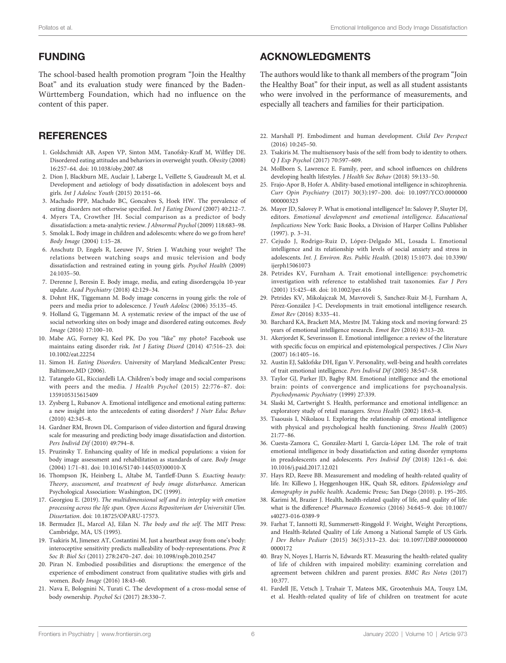# <span id="page-5-0"></span>FUNDING

The school-based health promotion program "Join the Healthy Boat" and its evaluation study were financed by the Baden-Württemberg Foundation, which had no influence on the content of this paper.

# **REFERENCES**

- 1. Goldschmidt AB, Aspen VP, Sinton MM, Tanofsky-Kraff M, Wilfley DE. Disordered eating attitudes and behaviors in overweight youth. Obesity (2008) 16:257–64. doi: [10.1038/oby.2007.48](https://doi.org/10.1038/oby.2007.48)
- 2. Dion J, Blackburn ME, Auclair J, Laberge L, Veillette S, Gaudreault M, et al. Development and aetiology of body dissatisfaction in adolescent boys and girls. Int J Adolesc Youth (2015) 20:151–66.
- 3. Machado PPP, Machado BC, Goncalves S, Hoek HW. The prevalence of eating disorders not otherwise specified. Int J Eating Disord (2007) 40:212–7.
- 4. Myers TA, Crowther JH. Social comparison as a predictor of body dissatisfaction: a meta-analytic review. J Abnormal Psychol (2009) 118:683–98.
- 5. Smolak L. Body image in children and adolescents: where do we go from here? Body Image (2004) 1:15–28.
- 6. Anschutz D, Engels R, Leeuwe JV, Strien J. Watching your weight? The relations between watching soaps and music television and body dissatisfaction and restrained eating in young girls. Psychol Health (2009) 24:1035–50.
- 7. Derenne J, Beresin E. Body image, media, and eating disordersgçöa 10-year update. Acad Psychiatry (2018) 42:129–34.
- 8. Dohnt HK, Tiggemann M. Body image concerns in young girls: the role of peers and media prior to adolescence. J Youth Adolesc (2006) 35:135–45.
- 9. Holland G, Tiggemann M. A systematic review of the impact of the use of social networking sites on body image and disordered eating outcomes. Body Image (2016) 17:100–10.
- 10. Mabe AG, Forney KJ, Keel PK. Do you "like" my photo? Facebook use maintains eating disorder risk. Int J Eating Disord (2014) 47:516–23. doi: [10.1002/eat.22254](https://doi.org/10.1002/eat.22254)
- 11. Simon H. Eating Disorders. University of Maryland MedicalCenter Press;: Baltimore,MD (2006).
- 12. Tatangelo GL, Ricciardelli LA. Children's body image and social comparisons with peers and the media. J Health Psychol (2015) 22:776–87. doi: [1359105315615409](https://doi.org/1359105315615409)
- 13. Zysberg L, Rubanov A. Emotional intelligence and emotional eating patterns: a new insight into the antecedents of eating disorders? J Nutr Educ Behav (2010) 42:345–8.
- 14. Gardner RM, Brown DL. Comparison of video distortion and figural drawing scale for measuring and predicting body image dissatisfaction and distortion. Pers Individ Dif (2010) 49:794–8.
- 15. Pruzinsky T. Enhancing quality of life in medical populations: a vision for body image assessment and rehabilitation as standards of care. Body Image (2004) 1:71–81. doi: [10.1016/S1740-1445\(03\)00010-X](https://doi.org/10.1016/S1740-1445(03)00010-X)
- 16. Thompson JK, Heinberg L, Altabe M, Tantleff-Dunn S. Exacting beauty: Theory, assessment, and treatment of body image disturbance. American Psychological Association: Washington, DC (1999).
- 17. Georgiou E. (2019). The multidimensional self and its interplay with emotion processing across the life span. Open Access Repositorium der Universität Ulm. Dissertation. doi: [10.18725/OPARU-17573.](https://doi.org/10.18725/OPARU-17573)
- 18. Bermudez JL, Marcel AJ, Eilan N. The body and the self. The MIT Press: Cambridge, MA, US (1995).
- 19. Tsakiris M, Jimenez AT, Costantini M. Just a heartbeat away from one's body: interoceptive sensitivity predicts malleability of body-representations. Proc R Soc B: Biol Sci (2011) 278:2470–247. doi: [10.1098/rspb.2010.2547](https://doi.org/10.1098/rspb.2010.2547)
- 20. Piran N. Embodied possibilities and disruptions: the emergence of the experience of embodiment construct from qualitative studies with girls and women. Body Image (2016) 18:43–60.
- 21. Nava E, Bolognini N, Turati C. The development of a cross-modal sense of body ownership. Psychol Sci (2017) 28:330–7.

# ACKNOWLEDGMENTS

The authors would like to thank all members of the program "Join the Healthy Boat" for their input, as well as all student assistants who were involved in the performance of measurements, and especially all teachers and families for their participation.

- 22. Marshall PJ. Embodiment and human development. Child Dev Perspect  $(2016)$  10:245-50.
- 23. Tsakiris M. The multisensory basis of the self: from body to identity to others. Q J Exp Psychol (2017) 70:597–609.
- 24. Mollborn S, Lawrence E. Family, peer, and school influences on childrens developing health lifestyles. J Health Soc Behav (2018) 59:133–50.
- 25. Frajo-Apor B, Hofer A. Ability-based emotional intelligence in schizophrenia. Curr Opin Psychiatry (2017) 30(3):197–200. doi: [10.1097/YCO.0000000](https://doi.org/10.1097/YCO.0000000000000323) [000000323](https://doi.org/10.1097/YCO.0000000000000323)
- 26. Mayer JD, Salovey P. What is emotional intelligence? In: Salovey P, Sluyter DJ, editors. Emotional development and emotional intelligence. Educational Implications New York: Basic Books, a Division of Harper Collins Publisher (1997). p. 3–31.
- 27. Cejudo J, Rodrigo-Ruiz D, López-Delgado ML, Losada L. Emotional intelligence and its relationship with levels of social anxiety and stress in adolescents. Int. J. Environ. Res. Public Health. (2018) 15:1073. doi: [10.3390/](https://doi.org/10.3390/ijerph15061073) [ijerph15061073](https://doi.org/10.3390/ijerph15061073)
- 28. Petrides KV, Furnham A. Trait emotional intelligence: psychometric investigation with reference to established trait taxonomies. Eur J Pers (2001) 15:425–48. doi: [10.1002/per.416](https://doi.org/10.1002/per.416)
- 29. Petrides KV, Mikolajczak M, Mavroveli S, Sanchez-Ruiz M-J, Furnham A, Pérez-González J-C. Developments in trait emotional intelligence research. Emot Rev (2016) 8:335–41.
- 30. Barchard KA, Brackett MA, Mestre JM. Taking stock and moving forward: 25 years of emotional intelligence research. Emot Rev (2016) 8:313–20.
- 31. Akerjordet K, Severinsson E. Emotional intelligence: a review of the literature with specific focus on empirical and epistemological perspectives. J Clin Nurs (2007) 16:1405–16.
- 32. Austin EJ, Saklofske DH, Egan V. Personality, well-being and health correlates of trait emotional intelligence. Pers Individ Dif (2005) 38:547–58.
- 33. Taylor GJ, Parker JD, Bagby RM. Emotional intelligence and the emotional brain: points of convergence and implications for psychoanalysis. Psychodynamic Psychiatry (1999) 27:339.
- 34. Slaski M, Cartwright S. Health, performance and emotional intelligence: an exploratory study of retail managers. Stress Health (2002) 18:63–8.
- 35. Tsaousis I, Nikolaou I. Exploring the relationship of emotional intelligence with physical and psychological health functioning. Stress Health (2005) 21:77–86.
- 36. Cuesta-Zamora C, González-Martí I, García-López LM. The role of trait emotional intelligence in body dissatisfaction and eating disorder symptoms in preadolescents and adolescents. Pers Individ Dif (2018) 126:1–6. doi: [10.1016/j.paid.2017.12.021](https://doi.org/10.1016/j.paid.2017.12.021)
- 37. Hays RD, Reeve BB. Measurement and modeling of health-related quality of life. In: Killewo J, Heggenhougen HK, Quah SR, editors. Epidemiology and demography in public health. Academic Press;: San Diego (2010). p. 195–205.
- 38. Karimi M, Brazier J. Health, health-related quality of life, and quality of life: what is the difference? Pharmaco Economics (2016) 34:645–9. doi: [10.1007/](https://doi.org/10.1007/s40273-016-0389-9) [s40273-016-0389-9](https://doi.org/10.1007/s40273-016-0389-9)
- 39. Farhat T, Iannotti RJ, Summersett-Ringgold F. Weight, Weight Perceptions, and Health-Related Quality of Life Among a National Sample of US Girls. J Dev Behav Pediatr (2015) 36(5):313–23. doi: [10.1097/DBP.000000000](https://doi.org/10.1097/DBP.0000000000000172) [0000172](https://doi.org/10.1097/DBP.0000000000000172)
- 40. Bray N, Noyes J, Harris N, Edwards RT. Measuring the health-related quality of life of children with impaired mobility: examining correlation and agreement between children and parent proxies. BMC Res Notes (2017) 10:377.
- 41. Fardell JE, Vetsch J, Trahair T, Mateos MK, Grootenhuis MA, Touyz LM, et al. Health-related quality of life of children on treatment for acute